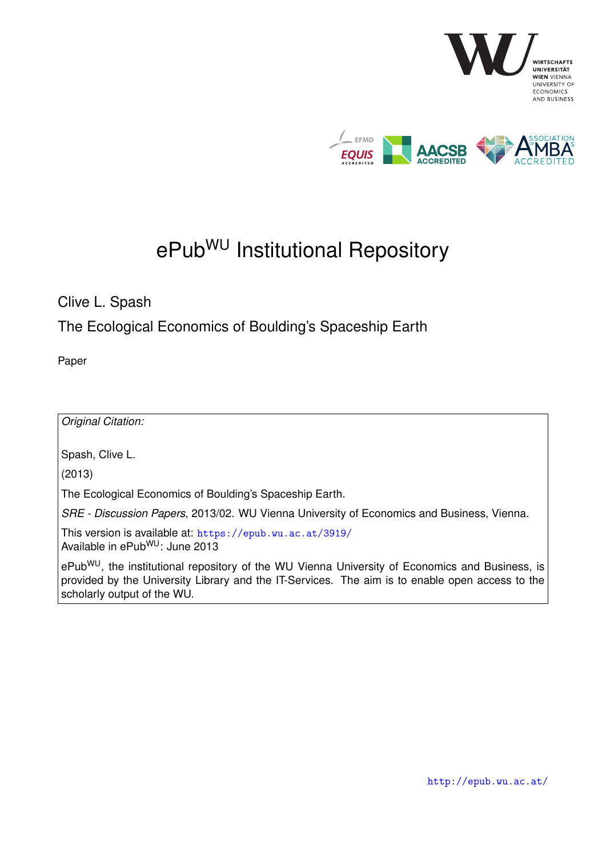

# ePub<sup>WU</sup> Institutional Repository

Clive L. Spash

The Ecological Economics of Boulding's Spaceship Earth

Paper

*Original Citation:*

Spash, Clive L.

(2013)

The Ecological Economics of Boulding's Spaceship Earth.

*SRE - Discussion Papers*, 2013/02. WU Vienna University of Economics and Business, Vienna.

This version is available at: <https://epub.wu.ac.at/3919/> Available in ePubWU: June 2013

ePub<sup>WU</sup>, the institutional repository of the WU Vienna University of Economics and Business, is provided by the University Library and the IT-Services. The aim is to enable open access to the scholarly output of the WU.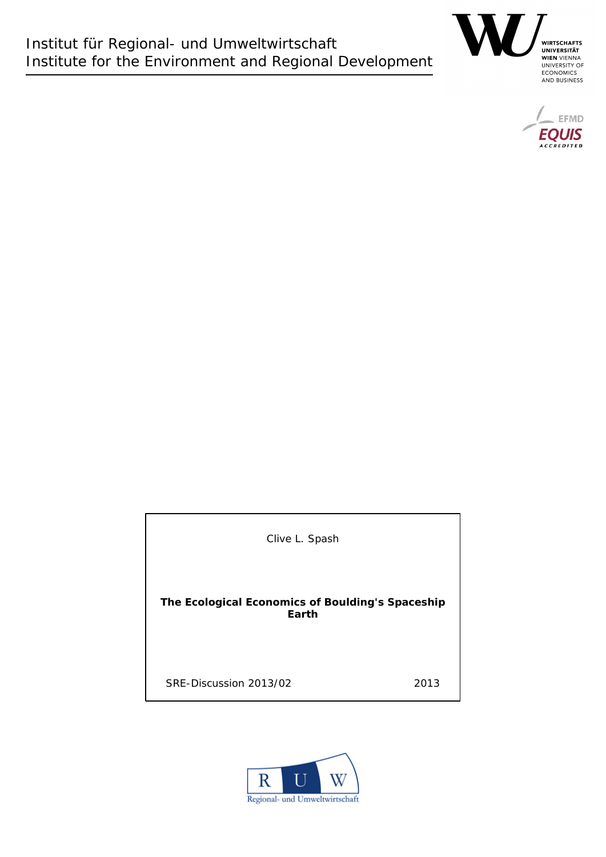# Institut für Regional- und Umweltwirtschaft Institute for the Environment and Regional Development





Clive L. Spash SRE-Discussion 2013/02 2013 **The Ecological Economics of Boulding's Spaceship Earth**

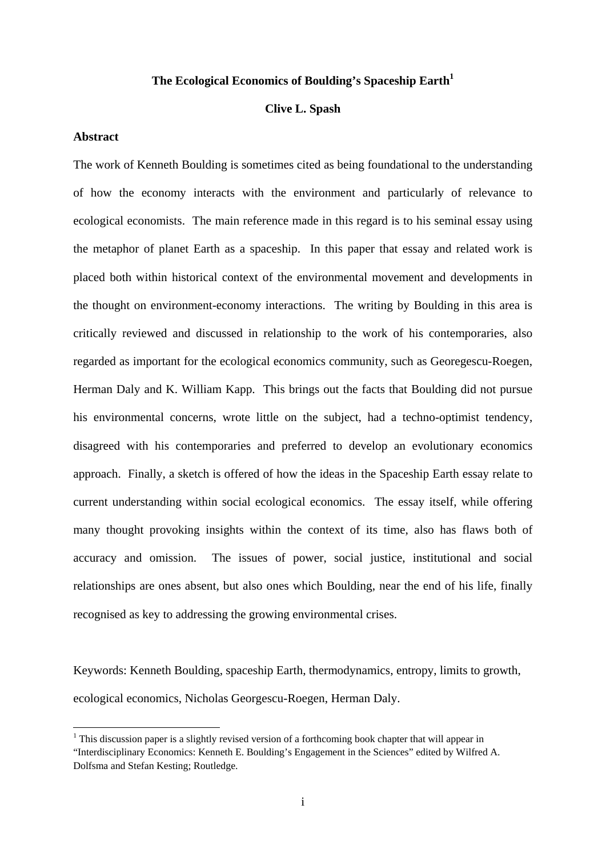# The Ecological Economics of Boulding's Spaceship Earth<sup>1</sup>

# **Clive L. Spash**

# **Abstract**

<u>.</u>

The work of Kenneth Boulding is sometimes cited as being foundational to the understanding of how the economy interacts with the environment and particularly of relevance to ecological economists. The main reference made in this regard is to his seminal essay using the metaphor of planet Earth as a spaceship. In this paper that essay and related work is placed both within historical context of the environmental movement and developments in the thought on environment-economy interactions. The writing by Boulding in this area is critically reviewed and discussed in relationship to the work of his contemporaries, also regarded as important for the ecological economics community, such as Georegescu-Roegen, Herman Daly and K. William Kapp. This brings out the facts that Boulding did not pursue his environmental concerns, wrote little on the subject, had a techno-optimist tendency, disagreed with his contemporaries and preferred to develop an evolutionary economics approach. Finally, a sketch is offered of how the ideas in the Spaceship Earth essay relate to current understanding within social ecological economics. The essay itself, while offering many thought provoking insights within the context of its time, also has flaws both of accuracy and omission. The issues of power, social justice, institutional and social relationships are ones absent, but also ones which Boulding, near the end of his life, finally recognised as key to addressing the growing environmental crises.

Keywords: Kenneth Boulding, spaceship Earth, thermodynamics, entropy, limits to growth, ecological economics, Nicholas Georgescu-Roegen, Herman Daly.

 $<sup>1</sup>$  This discussion paper is a slightly revised version of a forthcoming book chapter that will appear in</sup> "Interdisciplinary Economics: Kenneth E. Boulding's Engagement in the Sciences" edited by Wilfred A. Dolfsma and Stefan Kesting; Routledge.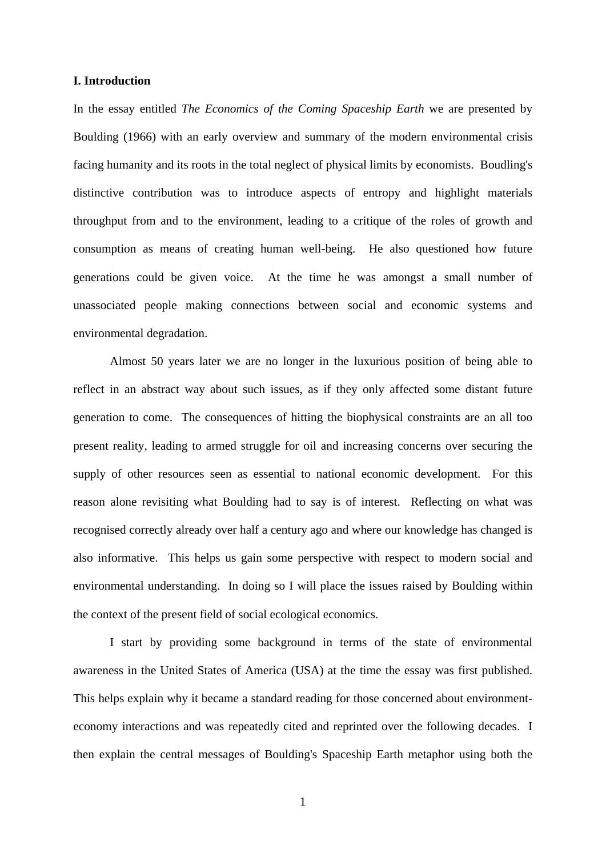# **I. Introduction**

In the essay entitled *The Economics of the Coming Spaceship Earth* we are presented by Boulding (1966) with an early overview and summary of the modern environmental crisis facing humanity and its roots in the total neglect of physical limits by economists. Boudling's distinctive contribution was to introduce aspects of entropy and highlight materials throughput from and to the environment, leading to a critique of the roles of growth and consumption as means of creating human well-being. He also questioned how future generations could be given voice. At the time he was amongst a small number of unassociated people making connections between social and economic systems and environmental degradation.

Almost 50 years later we are no longer in the luxurious position of being able to reflect in an abstract way about such issues, as if they only affected some distant future generation to come. The consequences of hitting the biophysical constraints are an all too present reality, leading to armed struggle for oil and increasing concerns over securing the supply of other resources seen as essential to national economic development. For this reason alone revisiting what Boulding had to say is of interest. Reflecting on what was recognised correctly already over half a century ago and where our knowledge has changed is also informative. This helps us gain some perspective with respect to modern social and environmental understanding. In doing so I will place the issues raised by Boulding within the context of the present field of social ecological economics.

I start by providing some background in terms of the state of environmental awareness in the United States of America (USA) at the time the essay was first published. This helps explain why it became a standard reading for those concerned about environmenteconomy interactions and was repeatedly cited and reprinted over the following decades. I then explain the central messages of Boulding's Spaceship Earth metaphor using both the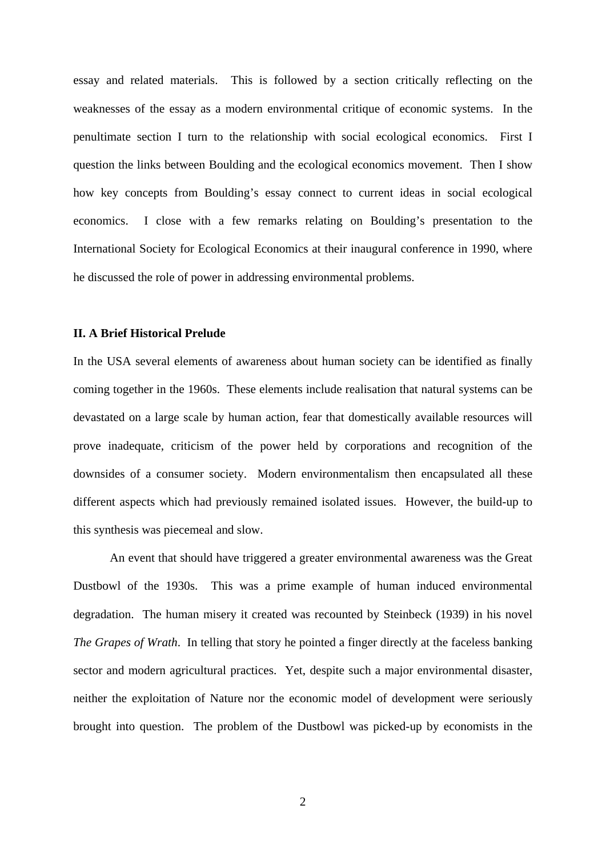essay and related materials. This is followed by a section critically reflecting on the weaknesses of the essay as a modern environmental critique of economic systems. In the penultimate section I turn to the relationship with social ecological economics. First I question the links between Boulding and the ecological economics movement. Then I show how key concepts from Boulding's essay connect to current ideas in social ecological economics. I close with a few remarks relating on Boulding's presentation to the International Society for Ecological Economics at their inaugural conference in 1990, where he discussed the role of power in addressing environmental problems.

# **II. A Brief Historical Prelude**

In the USA several elements of awareness about human society can be identified as finally coming together in the 1960s. These elements include realisation that natural systems can be devastated on a large scale by human action, fear that domestically available resources will prove inadequate, criticism of the power held by corporations and recognition of the downsides of a consumer society. Modern environmentalism then encapsulated all these different aspects which had previously remained isolated issues. However, the build-up to this synthesis was piecemeal and slow.

An event that should have triggered a greater environmental awareness was the Great Dustbowl of the 1930s. This was a prime example of human induced environmental degradation. The human misery it created was recounted by Steinbeck (1939) in his novel *The Grapes of Wrath*. In telling that story he pointed a finger directly at the faceless banking sector and modern agricultural practices. Yet, despite such a major environmental disaster, neither the exploitation of Nature nor the economic model of development were seriously brought into question. The problem of the Dustbowl was picked-up by economists in the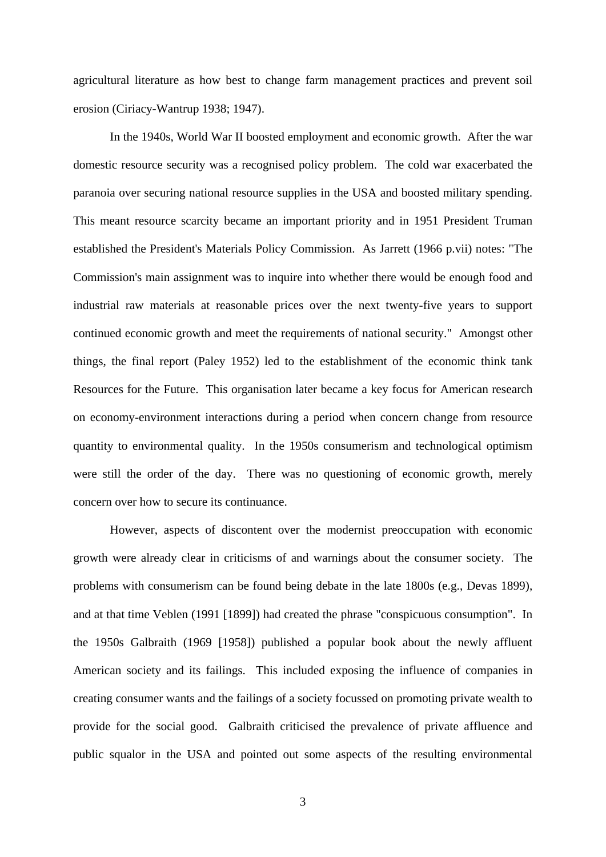agricultural literature as how best to change farm management practices and prevent soil erosion (Ciriacy-Wantrup 1938; 1947).

In the 1940s, World War II boosted employment and economic growth. After the war domestic resource security was a recognised policy problem. The cold war exacerbated the paranoia over securing national resource supplies in the USA and boosted military spending. This meant resource scarcity became an important priority and in 1951 President Truman established the President's Materials Policy Commission. As Jarrett (1966 p.vii) notes: "The Commission's main assignment was to inquire into whether there would be enough food and industrial raw materials at reasonable prices over the next twenty-five years to support continued economic growth and meet the requirements of national security." Amongst other things, the final report (Paley 1952) led to the establishment of the economic think tank Resources for the Future. This organisation later became a key focus for American research on economy-environment interactions during a period when concern change from resource quantity to environmental quality. In the 1950s consumerism and technological optimism were still the order of the day. There was no questioning of economic growth, merely concern over how to secure its continuance.

However, aspects of discontent over the modernist preoccupation with economic growth were already clear in criticisms of and warnings about the consumer society. The problems with consumerism can be found being debate in the late 1800s (e.g., Devas 1899), and at that time Veblen (1991 [1899]) had created the phrase "conspicuous consumption". In the 1950s Galbraith (1969 [1958]) published a popular book about the newly affluent American society and its failings. This included exposing the influence of companies in creating consumer wants and the failings of a society focussed on promoting private wealth to provide for the social good. Galbraith criticised the prevalence of private affluence and public squalor in the USA and pointed out some aspects of the resulting environmental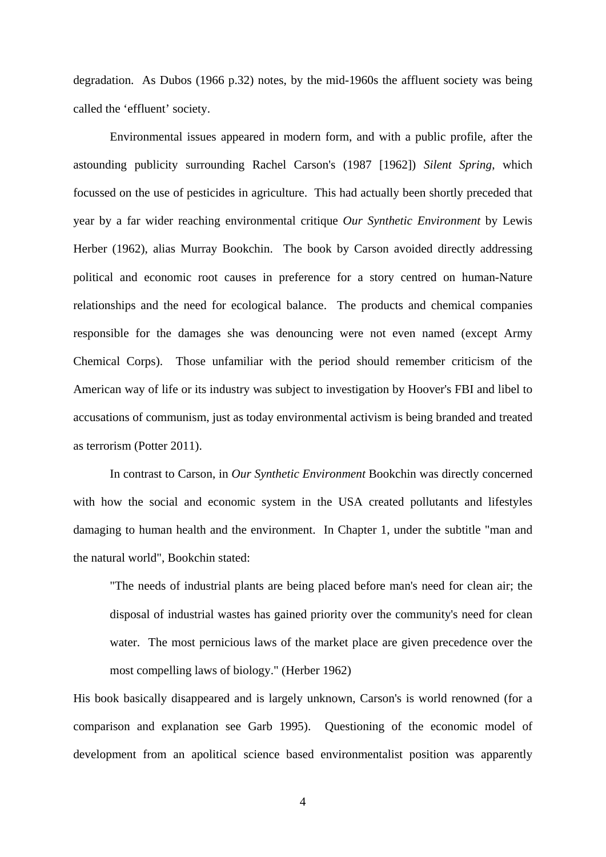degradation. As Dubos (1966 p.32) notes, by the mid-1960s the affluent society was being called the 'effluent' society.

Environmental issues appeared in modern form, and with a public profile, after the astounding publicity surrounding Rachel Carson's (1987 [1962]) *Silent Spring*, which focussed on the use of pesticides in agriculture. This had actually been shortly preceded that year by a far wider reaching environmental critique *Our Synthetic Environment* by Lewis Herber (1962), alias Murray Bookchin. The book by Carson avoided directly addressing political and economic root causes in preference for a story centred on human-Nature relationships and the need for ecological balance. The products and chemical companies responsible for the damages she was denouncing were not even named (except Army Chemical Corps). Those unfamiliar with the period should remember criticism of the American way of life or its industry was subject to investigation by Hoover's FBI and libel to accusations of communism, just as today environmental activism is being branded and treated as terrorism (Potter 2011).

In contrast to Carson, in *Our Synthetic Environment* Bookchin was directly concerned with how the social and economic system in the USA created pollutants and lifestyles damaging to human health and the environment. In Chapter 1, under the subtitle "man and the natural world", Bookchin stated:

"The needs of industrial plants are being placed before man's need for clean air; the disposal of industrial wastes has gained priority over the community's need for clean water. The most pernicious laws of the market place are given precedence over the most compelling laws of biology." (Herber 1962)

His book basically disappeared and is largely unknown, Carson's is world renowned (for a comparison and explanation see Garb 1995). Questioning of the economic model of development from an apolitical science based environmentalist position was apparently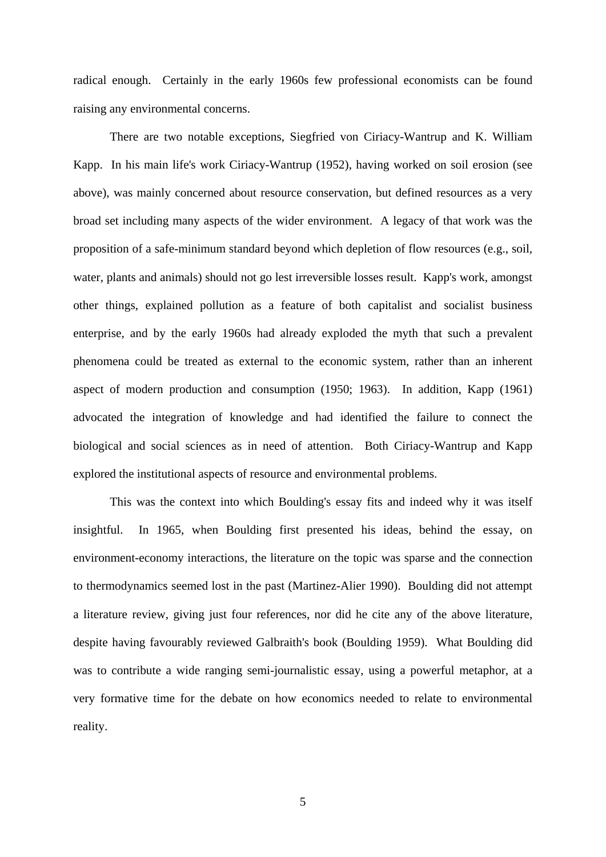radical enough. Certainly in the early 1960s few professional economists can be found raising any environmental concerns.

There are two notable exceptions, Siegfried von Ciriacy-Wantrup and K. William Kapp. In his main life's work Ciriacy-Wantrup (1952), having worked on soil erosion (see above), was mainly concerned about resource conservation, but defined resources as a very broad set including many aspects of the wider environment. A legacy of that work was the proposition of a safe-minimum standard beyond which depletion of flow resources (e.g., soil, water, plants and animals) should not go lest irreversible losses result. Kapp's work, amongst other things, explained pollution as a feature of both capitalist and socialist business enterprise, and by the early 1960s had already exploded the myth that such a prevalent phenomena could be treated as external to the economic system, rather than an inherent aspect of modern production and consumption (1950; 1963). In addition, Kapp (1961) advocated the integration of knowledge and had identified the failure to connect the biological and social sciences as in need of attention. Both Ciriacy-Wantrup and Kapp explored the institutional aspects of resource and environmental problems.

This was the context into which Boulding's essay fits and indeed why it was itself insightful. In 1965, when Boulding first presented his ideas, behind the essay, on environment-economy interactions, the literature on the topic was sparse and the connection to thermodynamics seemed lost in the past (Martinez-Alier 1990). Boulding did not attempt a literature review, giving just four references, nor did he cite any of the above literature, despite having favourably reviewed Galbraith's book (Boulding 1959). What Boulding did was to contribute a wide ranging semi-journalistic essay, using a powerful metaphor, at a very formative time for the debate on how economics needed to relate to environmental reality.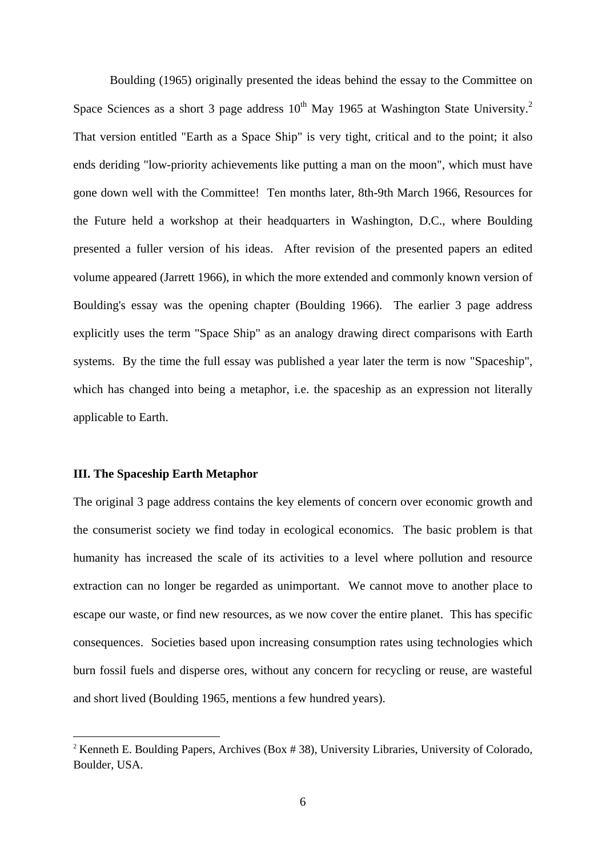Boulding (1965) originally presented the ideas behind the essay to the Committee on Space Sciences as a short 3 page address  $10^{th}$  May 1965 at Washington State University.<sup>2</sup> That version entitled "Earth as a Space Ship" is very tight, critical and to the point; it also ends deriding "low-priority achievements like putting a man on the moon", which must have gone down well with the Committee! Ten months later, 8th-9th March 1966, Resources for the Future held a workshop at their headquarters in Washington, D.C., where Boulding presented a fuller version of his ideas. After revision of the presented papers an edited volume appeared (Jarrett 1966), in which the more extended and commonly known version of Boulding's essay was the opening chapter (Boulding 1966). The earlier 3 page address explicitly uses the term "Space Ship" as an analogy drawing direct comparisons with Earth systems. By the time the full essay was published a year later the term is now "Spaceship", which has changed into being a metaphor, i.e. the spaceship as an expression not literally applicable to Earth.

#### **III. The Spaceship Earth Metaphor**

1

The original 3 page address contains the key elements of concern over economic growth and the consumerist society we find today in ecological economics. The basic problem is that humanity has increased the scale of its activities to a level where pollution and resource extraction can no longer be regarded as unimportant. We cannot move to another place to escape our waste, or find new resources, as we now cover the entire planet. This has specific consequences. Societies based upon increasing consumption rates using technologies which burn fossil fuels and disperse ores, without any concern for recycling or reuse, are wasteful and short lived (Boulding 1965, mentions a few hundred years).

<sup>2</sup> Kenneth E. Boulding Papers, Archives (Box # 38), University Libraries, University of Colorado, Boulder, USA.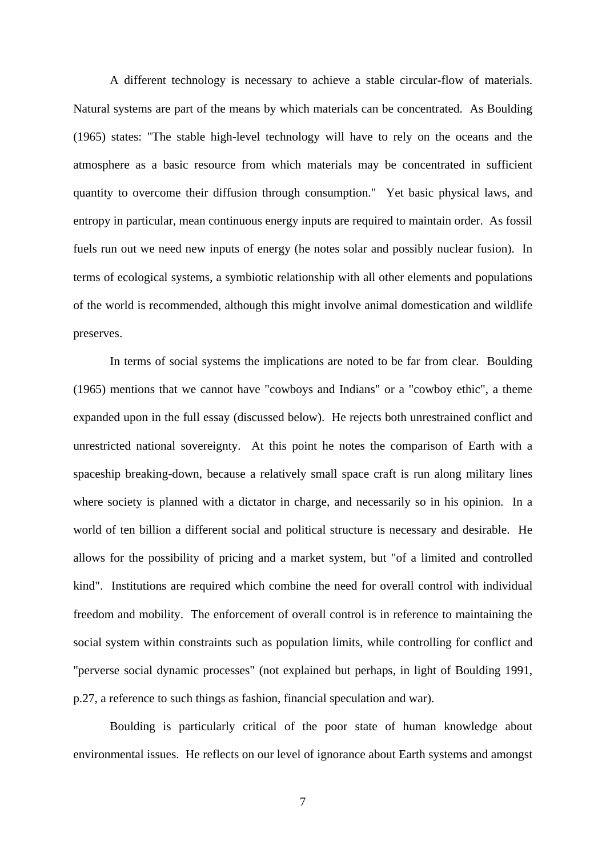A different technology is necessary to achieve a stable circular-flow of materials. Natural systems are part of the means by which materials can be concentrated. As Boulding (1965) states: "The stable high-level technology will have to rely on the oceans and the atmosphere as a basic resource from which materials may be concentrated in sufficient quantity to overcome their diffusion through consumption." Yet basic physical laws, and entropy in particular, mean continuous energy inputs are required to maintain order. As fossil fuels run out we need new inputs of energy (he notes solar and possibly nuclear fusion). In terms of ecological systems, a symbiotic relationship with all other elements and populations of the world is recommended, although this might involve animal domestication and wildlife preserves.

In terms of social systems the implications are noted to be far from clear. Boulding (1965) mentions that we cannot have "cowboys and Indians" or a "cowboy ethic", a theme expanded upon in the full essay (discussed below). He rejects both unrestrained conflict and unrestricted national sovereignty. At this point he notes the comparison of Earth with a spaceship breaking-down, because a relatively small space craft is run along military lines where society is planned with a dictator in charge, and necessarily so in his opinion. In a world of ten billion a different social and political structure is necessary and desirable. He allows for the possibility of pricing and a market system, but "of a limited and controlled kind". Institutions are required which combine the need for overall control with individual freedom and mobility. The enforcement of overall control is in reference to maintaining the social system within constraints such as population limits, while controlling for conflict and "perverse social dynamic processes" (not explained but perhaps, in light of Boulding 1991, p.27, a reference to such things as fashion, financial speculation and war).

Boulding is particularly critical of the poor state of human knowledge about environmental issues. He reflects on our level of ignorance about Earth systems and amongst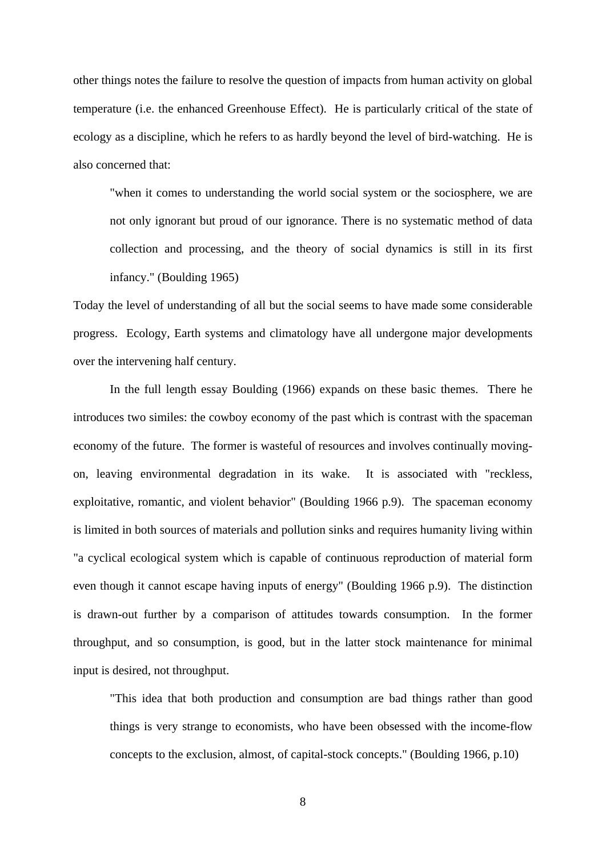other things notes the failure to resolve the question of impacts from human activity on global temperature (i.e. the enhanced Greenhouse Effect). He is particularly critical of the state of ecology as a discipline, which he refers to as hardly beyond the level of bird-watching. He is also concerned that:

"when it comes to understanding the world social system or the sociosphere, we are not only ignorant but proud of our ignorance. There is no systematic method of data collection and processing, and the theory of social dynamics is still in its first infancy." (Boulding 1965)

Today the level of understanding of all but the social seems to have made some considerable progress. Ecology, Earth systems and climatology have all undergone major developments over the intervening half century.

In the full length essay Boulding (1966) expands on these basic themes. There he introduces two similes: the cowboy economy of the past which is contrast with the spaceman economy of the future. The former is wasteful of resources and involves continually movingon, leaving environmental degradation in its wake. It is associated with "reckless, exploitative, romantic, and violent behavior" (Boulding 1966 p.9). The spaceman economy is limited in both sources of materials and pollution sinks and requires humanity living within "a cyclical ecological system which is capable of continuous reproduction of material form even though it cannot escape having inputs of energy" (Boulding 1966 p.9). The distinction is drawn-out further by a comparison of attitudes towards consumption. In the former throughput, and so consumption, is good, but in the latter stock maintenance for minimal input is desired, not throughput.

"This idea that both production and consumption are bad things rather than good things is very strange to economists, who have been obsessed with the income-flow concepts to the exclusion, almost, of capital-stock concepts." (Boulding 1966, p.10)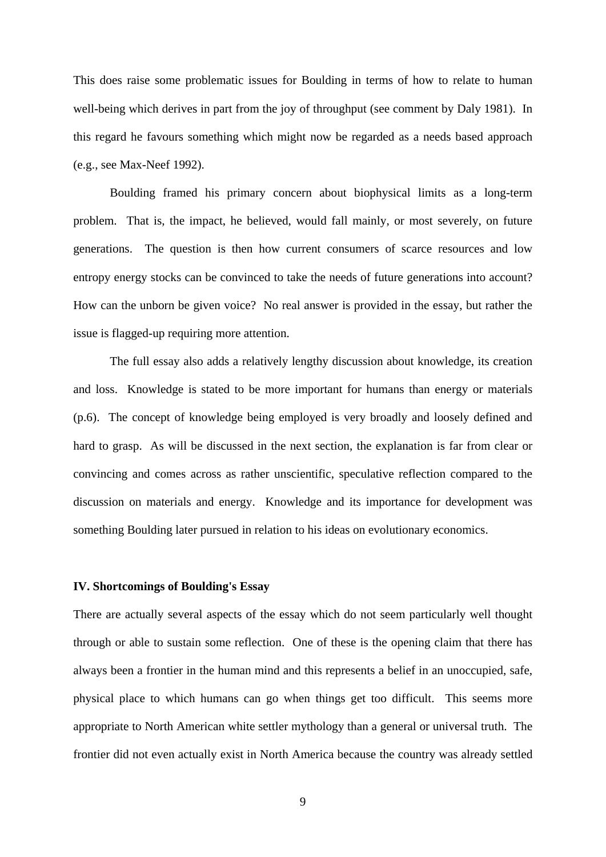This does raise some problematic issues for Boulding in terms of how to relate to human well-being which derives in part from the joy of throughput (see comment by Daly 1981). In this regard he favours something which might now be regarded as a needs based approach (e.g., see Max-Neef 1992).

Boulding framed his primary concern about biophysical limits as a long-term problem. That is, the impact, he believed, would fall mainly, or most severely, on future generations. The question is then how current consumers of scarce resources and low entropy energy stocks can be convinced to take the needs of future generations into account? How can the unborn be given voice? No real answer is provided in the essay, but rather the issue is flagged-up requiring more attention.

The full essay also adds a relatively lengthy discussion about knowledge, its creation and loss. Knowledge is stated to be more important for humans than energy or materials (p.6). The concept of knowledge being employed is very broadly and loosely defined and hard to grasp. As will be discussed in the next section, the explanation is far from clear or convincing and comes across as rather unscientific, speculative reflection compared to the discussion on materials and energy. Knowledge and its importance for development was something Boulding later pursued in relation to his ideas on evolutionary economics.

# **IV. Shortcomings of Boulding's Essay**

There are actually several aspects of the essay which do not seem particularly well thought through or able to sustain some reflection. One of these is the opening claim that there has always been a frontier in the human mind and this represents a belief in an unoccupied, safe, physical place to which humans can go when things get too difficult. This seems more appropriate to North American white settler mythology than a general or universal truth. The frontier did not even actually exist in North America because the country was already settled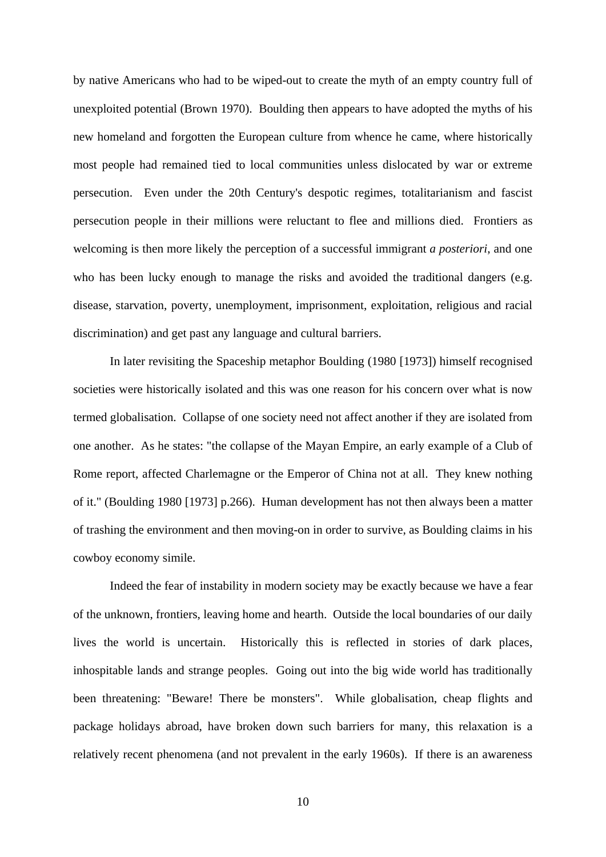by native Americans who had to be wiped-out to create the myth of an empty country full of unexploited potential (Brown 1970). Boulding then appears to have adopted the myths of his new homeland and forgotten the European culture from whence he came, where historically most people had remained tied to local communities unless dislocated by war or extreme persecution. Even under the 20th Century's despotic regimes, totalitarianism and fascist persecution people in their millions were reluctant to flee and millions died. Frontiers as welcoming is then more likely the perception of a successful immigrant *a posteriori*, and one who has been lucky enough to manage the risks and avoided the traditional dangers (e.g. disease, starvation, poverty, unemployment, imprisonment, exploitation, religious and racial discrimination) and get past any language and cultural barriers.

In later revisiting the Spaceship metaphor Boulding (1980 [1973]) himself recognised societies were historically isolated and this was one reason for his concern over what is now termed globalisation. Collapse of one society need not affect another if they are isolated from one another. As he states: "the collapse of the Mayan Empire, an early example of a Club of Rome report, affected Charlemagne or the Emperor of China not at all. They knew nothing of it." (Boulding 1980 [1973] p.266). Human development has not then always been a matter of trashing the environment and then moving-on in order to survive, as Boulding claims in his cowboy economy simile.

Indeed the fear of instability in modern society may be exactly because we have a fear of the unknown, frontiers, leaving home and hearth. Outside the local boundaries of our daily lives the world is uncertain. Historically this is reflected in stories of dark places, inhospitable lands and strange peoples. Going out into the big wide world has traditionally been threatening: "Beware! There be monsters". While globalisation, cheap flights and package holidays abroad, have broken down such barriers for many, this relaxation is a relatively recent phenomena (and not prevalent in the early 1960s). If there is an awareness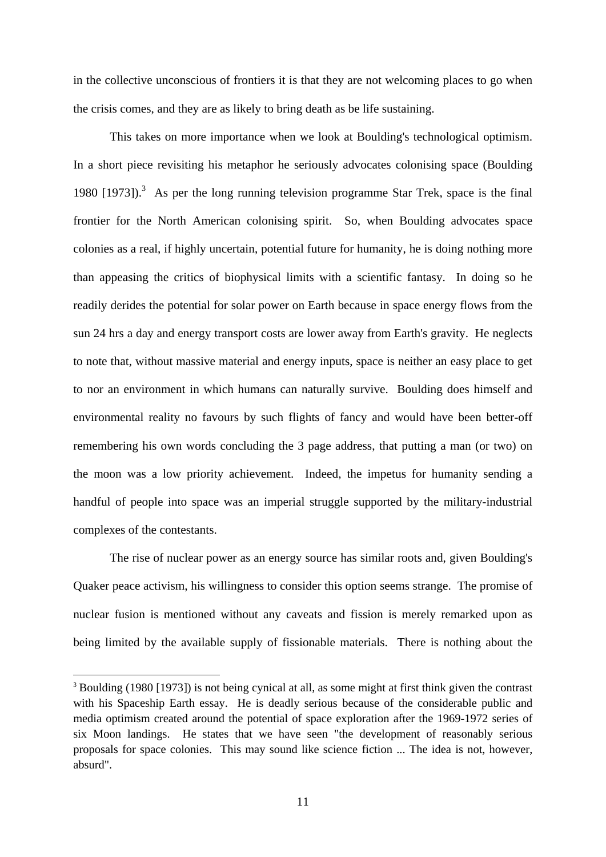in the collective unconscious of frontiers it is that they are not welcoming places to go when the crisis comes, and they are as likely to bring death as be life sustaining.

This takes on more importance when we look at Boulding's technological optimism. In a short piece revisiting his metaphor he seriously advocates colonising space (Boulding 1980  $[1973]$ .<sup>3</sup> As per the long running television programme Star Trek, space is the final frontier for the North American colonising spirit. So, when Boulding advocates space colonies as a real, if highly uncertain, potential future for humanity, he is doing nothing more than appeasing the critics of biophysical limits with a scientific fantasy. In doing so he readily derides the potential for solar power on Earth because in space energy flows from the sun 24 hrs a day and energy transport costs are lower away from Earth's gravity. He neglects to note that, without massive material and energy inputs, space is neither an easy place to get to nor an environment in which humans can naturally survive. Boulding does himself and environmental reality no favours by such flights of fancy and would have been better-off remembering his own words concluding the 3 page address, that putting a man (or two) on the moon was a low priority achievement. Indeed, the impetus for humanity sending a handful of people into space was an imperial struggle supported by the military-industrial complexes of the contestants.

The rise of nuclear power as an energy source has similar roots and, given Boulding's Quaker peace activism, his willingness to consider this option seems strange. The promise of nuclear fusion is mentioned without any caveats and fission is merely remarked upon as being limited by the available supply of fissionable materials. There is nothing about the

<sup>&</sup>lt;sup>3</sup> Boulding (1980 [1973]) is not being cynical at all, as some might at first think given the contrast with his Spaceship Earth essay. He is deadly serious because of the considerable public and media optimism created around the potential of space exploration after the 1969-1972 series of six Moon landings. He states that we have seen "the development of reasonably serious proposals for space colonies. This may sound like science fiction ... The idea is not, however, absurd".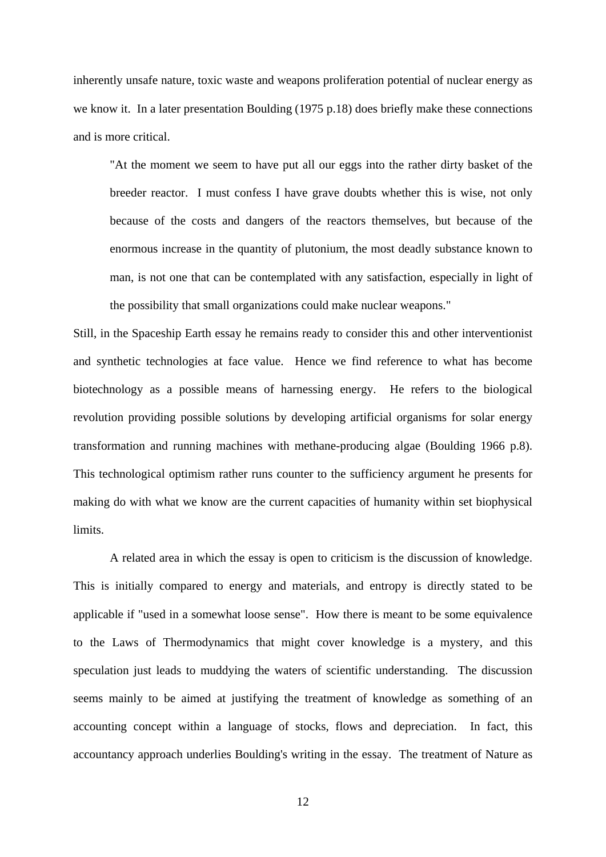inherently unsafe nature, toxic waste and weapons proliferation potential of nuclear energy as we know it. In a later presentation Boulding (1975 p.18) does briefly make these connections and is more critical.

"At the moment we seem to have put all our eggs into the rather dirty basket of the breeder reactor. I must confess I have grave doubts whether this is wise, not only because of the costs and dangers of the reactors themselves, but because of the enormous increase in the quantity of plutonium, the most deadly substance known to man, is not one that can be contemplated with any satisfaction, especially in light of the possibility that small organizations could make nuclear weapons."

Still, in the Spaceship Earth essay he remains ready to consider this and other interventionist and synthetic technologies at face value. Hence we find reference to what has become biotechnology as a possible means of harnessing energy. He refers to the biological revolution providing possible solutions by developing artificial organisms for solar energy transformation and running machines with methane-producing algae (Boulding 1966 p.8). This technological optimism rather runs counter to the sufficiency argument he presents for making do with what we know are the current capacities of humanity within set biophysical limits.

A related area in which the essay is open to criticism is the discussion of knowledge. This is initially compared to energy and materials, and entropy is directly stated to be applicable if "used in a somewhat loose sense". How there is meant to be some equivalence to the Laws of Thermodynamics that might cover knowledge is a mystery, and this speculation just leads to muddying the waters of scientific understanding. The discussion seems mainly to be aimed at justifying the treatment of knowledge as something of an accounting concept within a language of stocks, flows and depreciation. In fact, this accountancy approach underlies Boulding's writing in the essay. The treatment of Nature as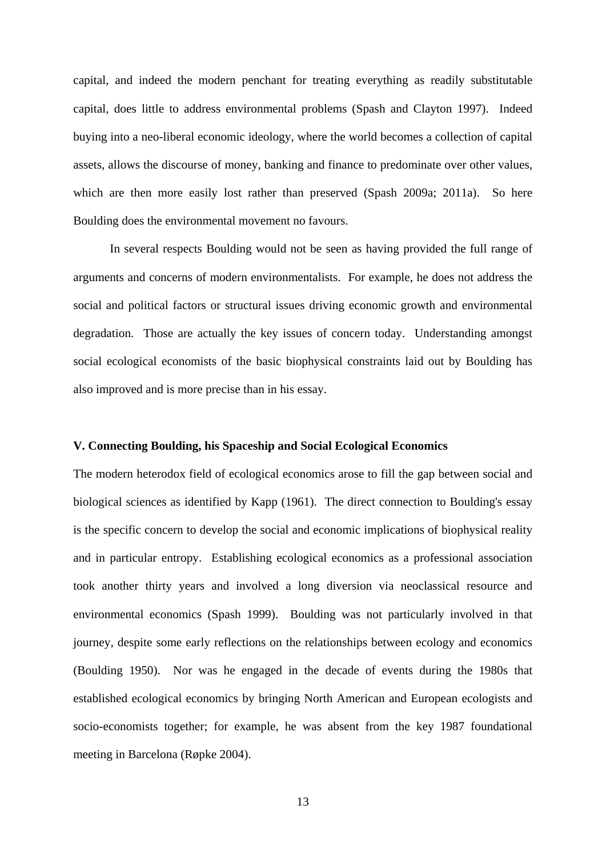capital, and indeed the modern penchant for treating everything as readily substitutable capital, does little to address environmental problems (Spash and Clayton 1997). Indeed buying into a neo-liberal economic ideology, where the world becomes a collection of capital assets, allows the discourse of money, banking and finance to predominate over other values, which are then more easily lost rather than preserved (Spash 2009a; 2011a). So here Boulding does the environmental movement no favours.

In several respects Boulding would not be seen as having provided the full range of arguments and concerns of modern environmentalists. For example, he does not address the social and political factors or structural issues driving economic growth and environmental degradation. Those are actually the key issues of concern today. Understanding amongst social ecological economists of the basic biophysical constraints laid out by Boulding has also improved and is more precise than in his essay.

# **V. Connecting Boulding, his Spaceship and Social Ecological Economics**

The modern heterodox field of ecological economics arose to fill the gap between social and biological sciences as identified by Kapp (1961). The direct connection to Boulding's essay is the specific concern to develop the social and economic implications of biophysical reality and in particular entropy. Establishing ecological economics as a professional association took another thirty years and involved a long diversion via neoclassical resource and environmental economics (Spash 1999). Boulding was not particularly involved in that journey, despite some early reflections on the relationships between ecology and economics (Boulding 1950). Nor was he engaged in the decade of events during the 1980s that established ecological economics by bringing North American and European ecologists and socio-economists together; for example, he was absent from the key 1987 foundational meeting in Barcelona (Røpke 2004).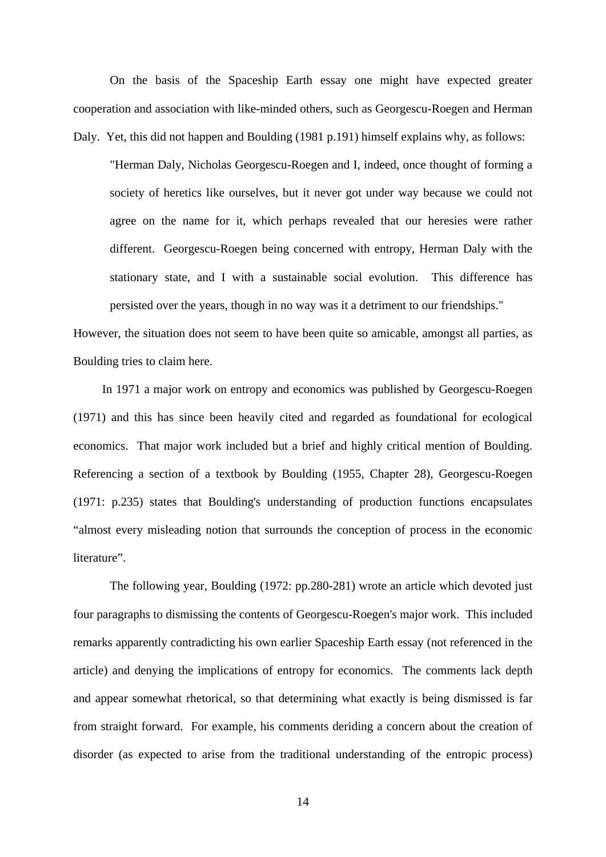On the basis of the Spaceship Earth essay one might have expected greater cooperation and association with like-minded others, such as Georgescu-Roegen and Herman Daly. Yet, this did not happen and Boulding (1981 p.191) himself explains why, as follows:

"Herman Daly, Nicholas Georgescu-Roegen and I, indeed, once thought of forming a society of heretics like ourselves, but it never got under way because we could not agree on the name for it, which perhaps revealed that our heresies were rather different. Georgescu-Roegen being concerned with entropy, Herman Daly with the stationary state, and I with a sustainable social evolution. This difference has persisted over the years, though in no way was it a detriment to our friendships."

However, the situation does not seem to have been quite so amicable, amongst all parties, as Boulding tries to claim here.

In 1971 a major work on entropy and economics was published by Georgescu-Roegen (1971) and this has since been heavily cited and regarded as foundational for ecological economics. That major work included but a brief and highly critical mention of Boulding. Referencing a section of a textbook by Boulding (1955, Chapter 28), Georgescu-Roegen (1971: p.235) states that Boulding's understanding of production functions encapsulates "almost every misleading notion that surrounds the conception of process in the economic literature".

The following year, Boulding (1972: pp.280-281) wrote an article which devoted just four paragraphs to dismissing the contents of Georgescu-Roegen's major work. This included remarks apparently contradicting his own earlier Spaceship Earth essay (not referenced in the article) and denying the implications of entropy for economics. The comments lack depth and appear somewhat rhetorical, so that determining what exactly is being dismissed is far from straight forward. For example, his comments deriding a concern about the creation of disorder (as expected to arise from the traditional understanding of the entropic process)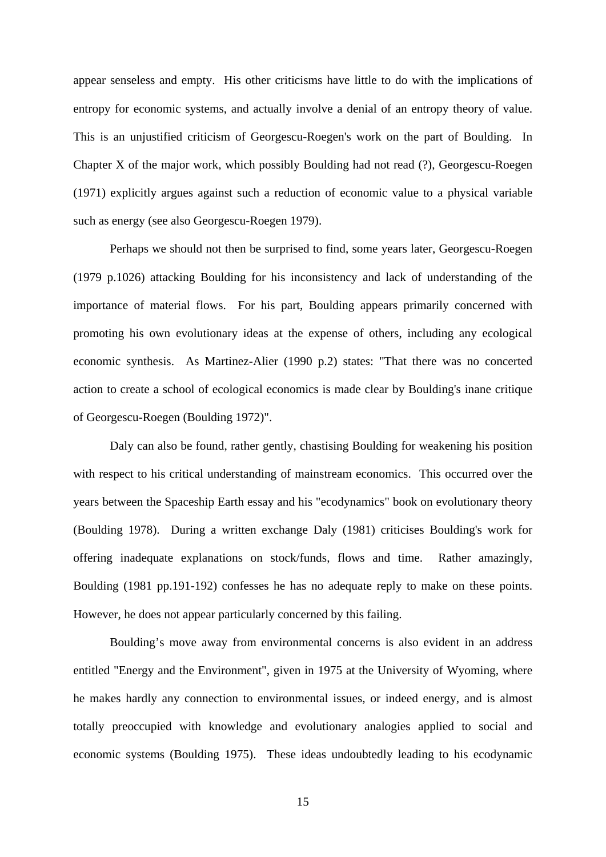appear senseless and empty. His other criticisms have little to do with the implications of entropy for economic systems, and actually involve a denial of an entropy theory of value. This is an unjustified criticism of Georgescu-Roegen's work on the part of Boulding. In Chapter X of the major work, which possibly Boulding had not read (?), Georgescu-Roegen (1971) explicitly argues against such a reduction of economic value to a physical variable such as energy (see also Georgescu-Roegen 1979).

Perhaps we should not then be surprised to find, some years later, Georgescu-Roegen (1979 p.1026) attacking Boulding for his inconsistency and lack of understanding of the importance of material flows. For his part, Boulding appears primarily concerned with promoting his own evolutionary ideas at the expense of others, including any ecological economic synthesis. As Martinez-Alier (1990 p.2) states: "That there was no concerted action to create a school of ecological economics is made clear by Boulding's inane critique of Georgescu-Roegen (Boulding 1972)".

Daly can also be found, rather gently, chastising Boulding for weakening his position with respect to his critical understanding of mainstream economics. This occurred over the years between the Spaceship Earth essay and his "ecodynamics" book on evolutionary theory (Boulding 1978). During a written exchange Daly (1981) criticises Boulding's work for offering inadequate explanations on stock/funds, flows and time. Rather amazingly, Boulding (1981 pp.191-192) confesses he has no adequate reply to make on these points. However, he does not appear particularly concerned by this failing.

Boulding's move away from environmental concerns is also evident in an address entitled "Energy and the Environment", given in 1975 at the University of Wyoming, where he makes hardly any connection to environmental issues, or indeed energy, and is almost totally preoccupied with knowledge and evolutionary analogies applied to social and economic systems (Boulding 1975). These ideas undoubtedly leading to his ecodynamic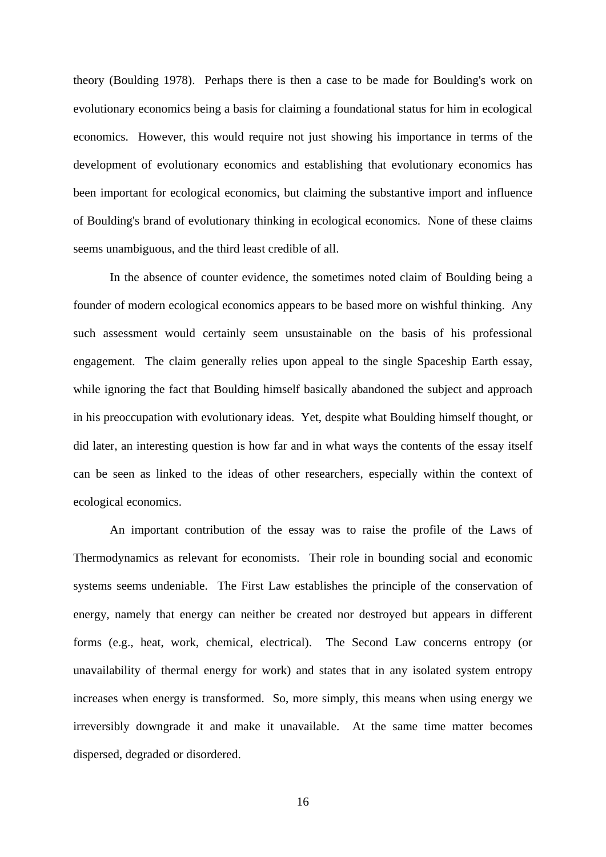theory (Boulding 1978). Perhaps there is then a case to be made for Boulding's work on evolutionary economics being a basis for claiming a foundational status for him in ecological economics. However, this would require not just showing his importance in terms of the development of evolutionary economics and establishing that evolutionary economics has been important for ecological economics, but claiming the substantive import and influence of Boulding's brand of evolutionary thinking in ecological economics. None of these claims seems unambiguous, and the third least credible of all.

In the absence of counter evidence, the sometimes noted claim of Boulding being a founder of modern ecological economics appears to be based more on wishful thinking. Any such assessment would certainly seem unsustainable on the basis of his professional engagement. The claim generally relies upon appeal to the single Spaceship Earth essay, while ignoring the fact that Boulding himself basically abandoned the subject and approach in his preoccupation with evolutionary ideas. Yet, despite what Boulding himself thought, or did later, an interesting question is how far and in what ways the contents of the essay itself can be seen as linked to the ideas of other researchers, especially within the context of ecological economics.

An important contribution of the essay was to raise the profile of the Laws of Thermodynamics as relevant for economists. Their role in bounding social and economic systems seems undeniable. The First Law establishes the principle of the conservation of energy, namely that energy can neither be created nor destroyed but appears in different forms (e.g., heat, work, chemical, electrical). The Second Law concerns entropy (or unavailability of thermal energy for work) and states that in any isolated system entropy increases when energy is transformed. So, more simply, this means when using energy we irreversibly downgrade it and make it unavailable. At the same time matter becomes dispersed, degraded or disordered.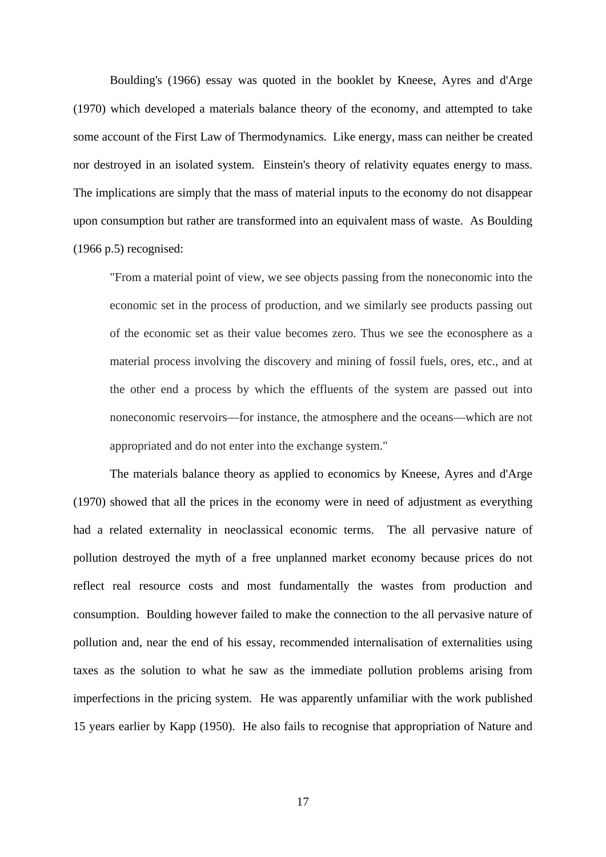Boulding's (1966) essay was quoted in the booklet by Kneese, Ayres and d'Arge (1970) which developed a materials balance theory of the economy, and attempted to take some account of the First Law of Thermodynamics. Like energy, mass can neither be created nor destroyed in an isolated system. Einstein's theory of relativity equates energy to mass. The implications are simply that the mass of material inputs to the economy do not disappear upon consumption but rather are transformed into an equivalent mass of waste. As Boulding (1966 p.5) recognised:

"From a material point of view, we see objects passing from the noneconomic into the economic set in the process of production, and we similarly see products passing out of the economic set as their value becomes zero. Thus we see the econosphere as a material process involving the discovery and mining of fossil fuels, ores, etc., and at the other end a process by which the effluents of the system are passed out into noneconomic reservoirs—for instance, the atmosphere and the oceans—which are not appropriated and do not enter into the exchange system."

The materials balance theory as applied to economics by Kneese, Ayres and d'Arge (1970) showed that all the prices in the economy were in need of adjustment as everything had a related externality in neoclassical economic terms. The all pervasive nature of pollution destroyed the myth of a free unplanned market economy because prices do not reflect real resource costs and most fundamentally the wastes from production and consumption. Boulding however failed to make the connection to the all pervasive nature of pollution and, near the end of his essay, recommended internalisation of externalities using taxes as the solution to what he saw as the immediate pollution problems arising from imperfections in the pricing system. He was apparently unfamiliar with the work published 15 years earlier by Kapp (1950). He also fails to recognise that appropriation of Nature and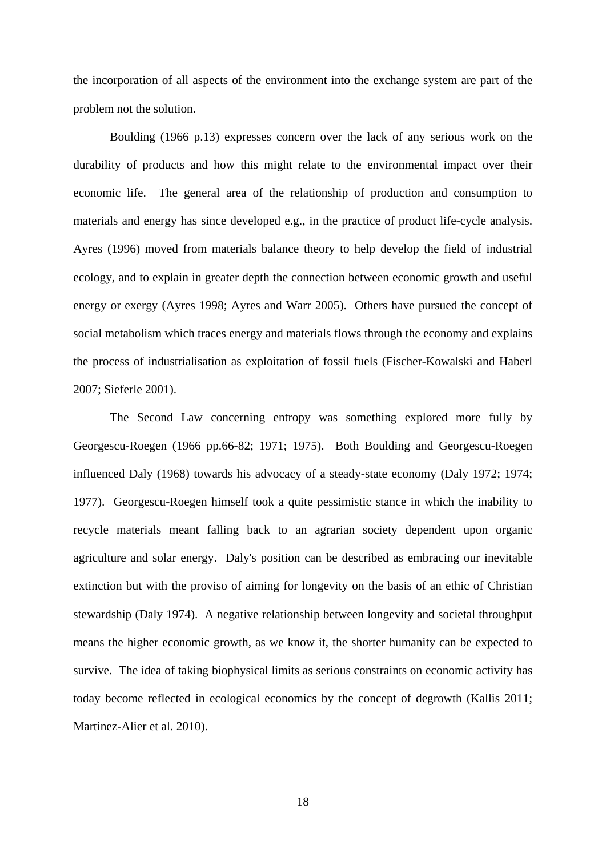the incorporation of all aspects of the environment into the exchange system are part of the problem not the solution.

Boulding (1966 p.13) expresses concern over the lack of any serious work on the durability of products and how this might relate to the environmental impact over their economic life. The general area of the relationship of production and consumption to materials and energy has since developed e.g., in the practice of product life-cycle analysis. Ayres (1996) moved from materials balance theory to help develop the field of industrial ecology, and to explain in greater depth the connection between economic growth and useful energy or exergy (Ayres 1998; Ayres and Warr 2005). Others have pursued the concept of social metabolism which traces energy and materials flows through the economy and explains the process of industrialisation as exploitation of fossil fuels (Fischer-Kowalski and Haberl 2007; Sieferle 2001).

The Second Law concerning entropy was something explored more fully by Georgescu-Roegen (1966 pp.66-82; 1971; 1975). Both Boulding and Georgescu-Roegen influenced Daly (1968) towards his advocacy of a steady-state economy (Daly 1972; 1974; 1977). Georgescu-Roegen himself took a quite pessimistic stance in which the inability to recycle materials meant falling back to an agrarian society dependent upon organic agriculture and solar energy. Daly's position can be described as embracing our inevitable extinction but with the proviso of aiming for longevity on the basis of an ethic of Christian stewardship (Daly 1974). A negative relationship between longevity and societal throughput means the higher economic growth, as we know it, the shorter humanity can be expected to survive. The idea of taking biophysical limits as serious constraints on economic activity has today become reflected in ecological economics by the concept of degrowth (Kallis 2011; Martinez-Alier et al. 2010).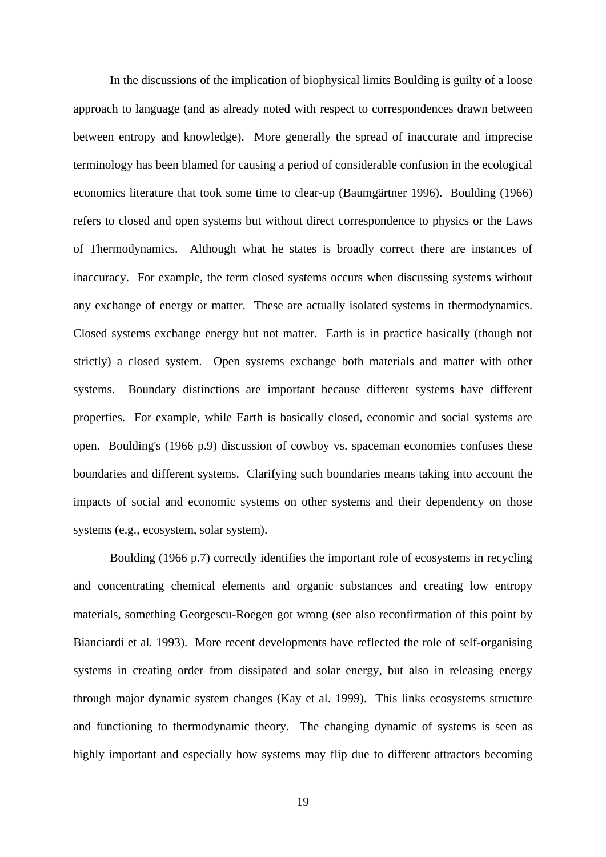In the discussions of the implication of biophysical limits Boulding is guilty of a loose approach to language (and as already noted with respect to correspondences drawn between between entropy and knowledge). More generally the spread of inaccurate and imprecise terminology has been blamed for causing a period of considerable confusion in the ecological economics literature that took some time to clear-up (Baumgärtner 1996). Boulding (1966) refers to closed and open systems but without direct correspondence to physics or the Laws of Thermodynamics. Although what he states is broadly correct there are instances of inaccuracy. For example, the term closed systems occurs when discussing systems without any exchange of energy or matter. These are actually isolated systems in thermodynamics. Closed systems exchange energy but not matter. Earth is in practice basically (though not strictly) a closed system. Open systems exchange both materials and matter with other systems. Boundary distinctions are important because different systems have different properties. For example, while Earth is basically closed, economic and social systems are open. Boulding's (1966 p.9) discussion of cowboy vs. spaceman economies confuses these boundaries and different systems. Clarifying such boundaries means taking into account the impacts of social and economic systems on other systems and their dependency on those systems (e.g., ecosystem, solar system).

Boulding (1966 p.7) correctly identifies the important role of ecosystems in recycling and concentrating chemical elements and organic substances and creating low entropy materials, something Georgescu-Roegen got wrong (see also reconfirmation of this point by Bianciardi et al. 1993). More recent developments have reflected the role of self-organising systems in creating order from dissipated and solar energy, but also in releasing energy through major dynamic system changes (Kay et al. 1999). This links ecosystems structure and functioning to thermodynamic theory. The changing dynamic of systems is seen as highly important and especially how systems may flip due to different attractors becoming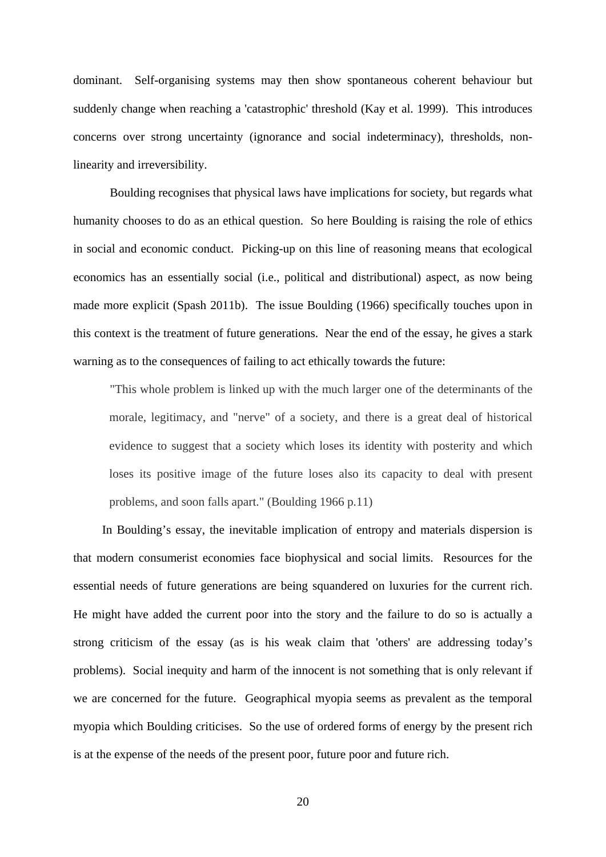dominant. Self-organising systems may then show spontaneous coherent behaviour but suddenly change when reaching a 'catastrophic' threshold (Kay et al. 1999). This introduces concerns over strong uncertainty (ignorance and social indeterminacy), thresholds, nonlinearity and irreversibility.

Boulding recognises that physical laws have implications for society, but regards what humanity chooses to do as an ethical question. So here Boulding is raising the role of ethics in social and economic conduct. Picking-up on this line of reasoning means that ecological economics has an essentially social (i.e., political and distributional) aspect, as now being made more explicit (Spash 2011b). The issue Boulding (1966) specifically touches upon in this context is the treatment of future generations. Near the end of the essay, he gives a stark warning as to the consequences of failing to act ethically towards the future:

"This whole problem is linked up with the much larger one of the determinants of the morale, legitimacy, and "nerve" of a society, and there is a great deal of historical evidence to suggest that a society which loses its identity with posterity and which loses its positive image of the future loses also its capacity to deal with present problems, and soon falls apart." (Boulding 1966 p.11)

In Boulding's essay, the inevitable implication of entropy and materials dispersion is that modern consumerist economies face biophysical and social limits. Resources for the essential needs of future generations are being squandered on luxuries for the current rich. He might have added the current poor into the story and the failure to do so is actually a strong criticism of the essay (as is his weak claim that 'others' are addressing today's problems). Social inequity and harm of the innocent is not something that is only relevant if we are concerned for the future. Geographical myopia seems as prevalent as the temporal myopia which Boulding criticises. So the use of ordered forms of energy by the present rich is at the expense of the needs of the present poor, future poor and future rich.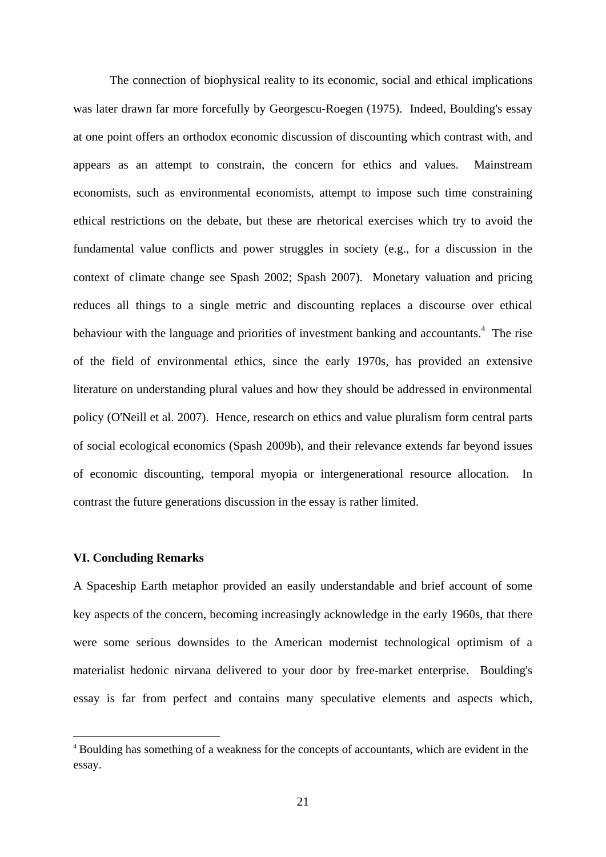The connection of biophysical reality to its economic, social and ethical implications was later drawn far more forcefully by Georgescu-Roegen (1975). Indeed, Boulding's essay at one point offers an orthodox economic discussion of discounting which contrast with, and appears as an attempt to constrain, the concern for ethics and values. Mainstream economists, such as environmental economists, attempt to impose such time constraining ethical restrictions on the debate, but these are rhetorical exercises which try to avoid the fundamental value conflicts and power struggles in society (e.g., for a discussion in the context of climate change see Spash 2002; Spash 2007). Monetary valuation and pricing reduces all things to a single metric and discounting replaces a discourse over ethical behaviour with the language and priorities of investment banking and accountants.<sup>4</sup> The rise of the field of environmental ethics, since the early 1970s, has provided an extensive literature on understanding plural values and how they should be addressed in environmental policy (O'Neill et al. 2007). Hence, research on ethics and value pluralism form central parts of social ecological economics (Spash 2009b), and their relevance extends far beyond issues of economic discounting, temporal myopia or intergenerational resource allocation. In contrast the future generations discussion in the essay is rather limited.

#### **VI. Concluding Remarks**

1

A Spaceship Earth metaphor provided an easily understandable and brief account of some key aspects of the concern, becoming increasingly acknowledge in the early 1960s, that there were some serious downsides to the American modernist technological optimism of a materialist hedonic nirvana delivered to your door by free-market enterprise. Boulding's essay is far from perfect and contains many speculative elements and aspects which,

<sup>4</sup> Boulding has something of a weakness for the concepts of accountants, which are evident in the essay.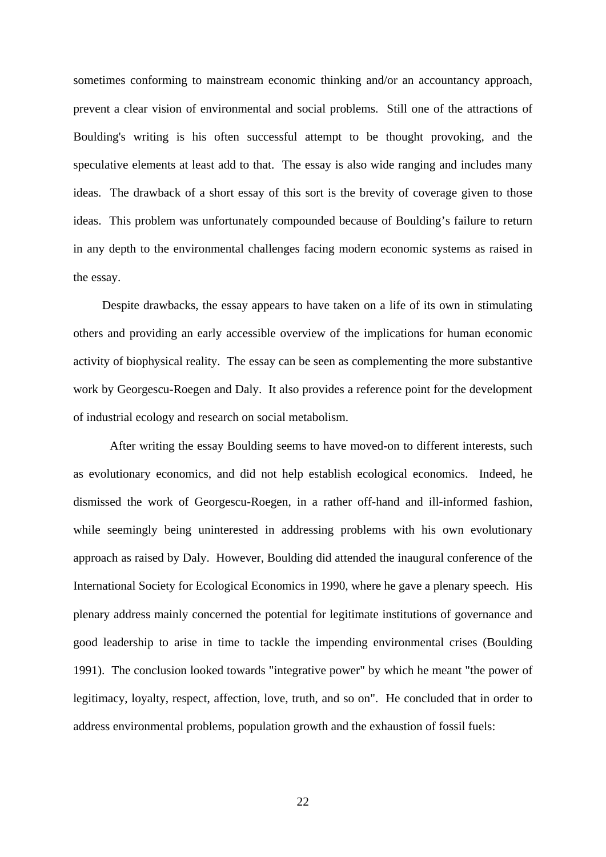sometimes conforming to mainstream economic thinking and/or an accountancy approach, prevent a clear vision of environmental and social problems. Still one of the attractions of Boulding's writing is his often successful attempt to be thought provoking, and the speculative elements at least add to that. The essay is also wide ranging and includes many ideas. The drawback of a short essay of this sort is the brevity of coverage given to those ideas. This problem was unfortunately compounded because of Boulding's failure to return in any depth to the environmental challenges facing modern economic systems as raised in the essay.

Despite drawbacks, the essay appears to have taken on a life of its own in stimulating others and providing an early accessible overview of the implications for human economic activity of biophysical reality. The essay can be seen as complementing the more substantive work by Georgescu-Roegen and Daly. It also provides a reference point for the development of industrial ecology and research on social metabolism.

After writing the essay Boulding seems to have moved-on to different interests, such as evolutionary economics, and did not help establish ecological economics. Indeed, he dismissed the work of Georgescu-Roegen, in a rather off-hand and ill-informed fashion, while seemingly being uninterested in addressing problems with his own evolutionary approach as raised by Daly. However, Boulding did attended the inaugural conference of the International Society for Ecological Economics in 1990, where he gave a plenary speech. His plenary address mainly concerned the potential for legitimate institutions of governance and good leadership to arise in time to tackle the impending environmental crises (Boulding 1991). The conclusion looked towards "integrative power" by which he meant "the power of legitimacy, loyalty, respect, affection, love, truth, and so on". He concluded that in order to address environmental problems, population growth and the exhaustion of fossil fuels: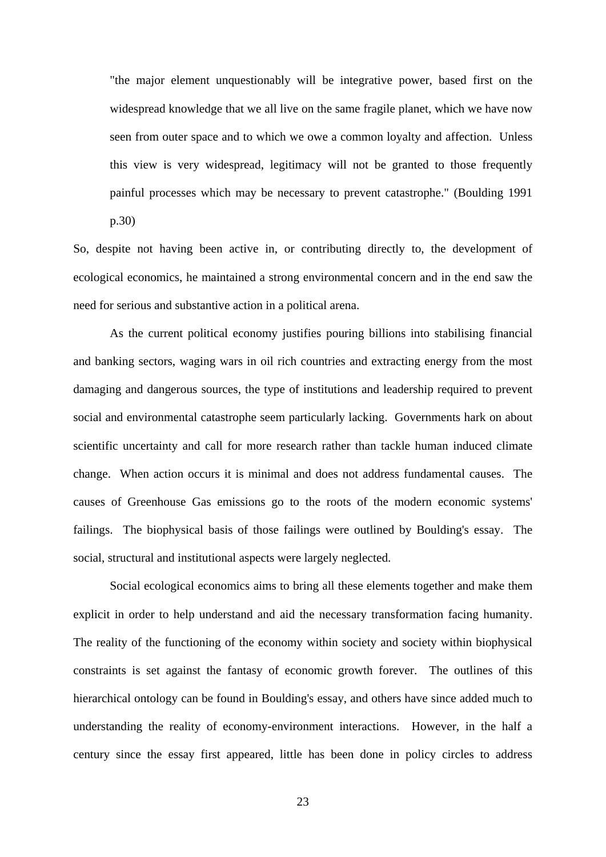"the major element unquestionably will be integrative power, based first on the widespread knowledge that we all live on the same fragile planet, which we have now seen from outer space and to which we owe a common loyalty and affection. Unless this view is very widespread, legitimacy will not be granted to those frequently painful processes which may be necessary to prevent catastrophe." (Boulding 1991 p.30)

So, despite not having been active in, or contributing directly to, the development of ecological economics, he maintained a strong environmental concern and in the end saw the need for serious and substantive action in a political arena.

As the current political economy justifies pouring billions into stabilising financial and banking sectors, waging wars in oil rich countries and extracting energy from the most damaging and dangerous sources, the type of institutions and leadership required to prevent social and environmental catastrophe seem particularly lacking. Governments hark on about scientific uncertainty and call for more research rather than tackle human induced climate change. When action occurs it is minimal and does not address fundamental causes. The causes of Greenhouse Gas emissions go to the roots of the modern economic systems' failings. The biophysical basis of those failings were outlined by Boulding's essay. The social, structural and institutional aspects were largely neglected.

Social ecological economics aims to bring all these elements together and make them explicit in order to help understand and aid the necessary transformation facing humanity. The reality of the functioning of the economy within society and society within biophysical constraints is set against the fantasy of economic growth forever. The outlines of this hierarchical ontology can be found in Boulding's essay, and others have since added much to understanding the reality of economy-environment interactions. However, in the half a century since the essay first appeared, little has been done in policy circles to address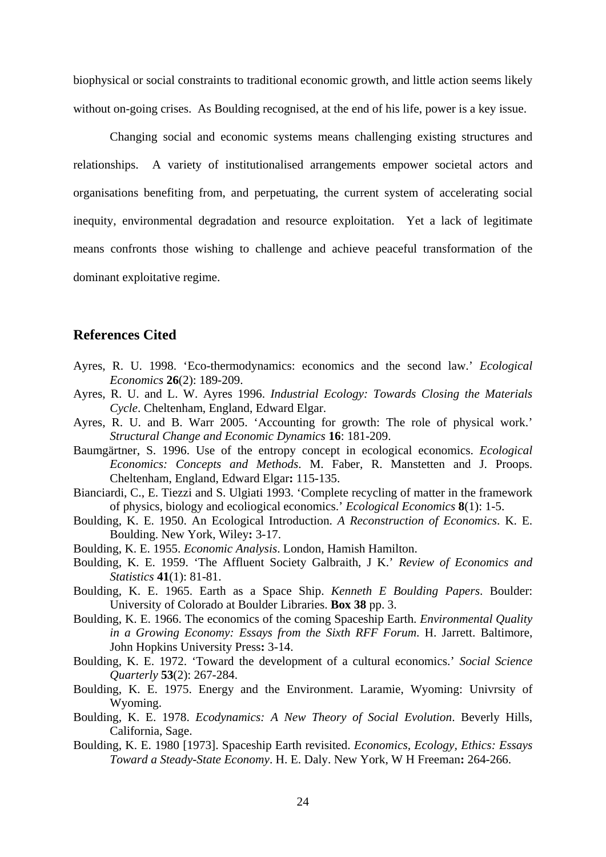biophysical or social constraints to traditional economic growth, and little action seems likely without on-going crises. As Boulding recognised, at the end of his life, power is a key issue.

Changing social and economic systems means challenging existing structures and relationships. A variety of institutionalised arrangements empower societal actors and organisations benefiting from, and perpetuating, the current system of accelerating social inequity, environmental degradation and resource exploitation. Yet a lack of legitimate means confronts those wishing to challenge and achieve peaceful transformation of the dominant exploitative regime.

# **References Cited**

- Ayres, R. U. 1998. 'Eco-thermodynamics: economics and the second law.' *Ecological Economics* **26**(2): 189-209.
- Ayres, R. U. and L. W. Ayres 1996. *Industrial Ecology: Towards Closing the Materials Cycle*. Cheltenham, England, Edward Elgar.
- Ayres, R. U. and B. Warr 2005. 'Accounting for growth: The role of physical work.' *Structural Change and Economic Dynamics* **16**: 181-209.
- Baumgärtner, S. 1996. Use of the entropy concept in ecological economics. *Ecological Economics: Concepts and Methods*. M. Faber, R. Manstetten and J. Proops. Cheltenham, England, Edward Elgar**:** 115-135.
- Bianciardi, C., E. Tiezzi and S. Ulgiati 1993. 'Complete recycling of matter in the framework of physics, biology and ecoliogical economics.' *Ecological Economics* **8**(1): 1-5.
- Boulding, K. E. 1950. An Ecological Introduction. *A Reconstruction of Economics*. K. E. Boulding. New York, Wiley**:** 3-17.
- Boulding, K. E. 1955. *Economic Analysis*. London, Hamish Hamilton.
- Boulding, K. E. 1959. 'The Affluent Society Galbraith, J K.' *Review of Economics and Statistics* **41**(1): 81-81.
- Boulding, K. E. 1965. Earth as a Space Ship. *Kenneth E Boulding Papers*. Boulder: University of Colorado at Boulder Libraries. **Box 38** pp. 3.
- Boulding, K. E. 1966. The economics of the coming Spaceship Earth. *Environmental Quality in a Growing Economy: Essays from the Sixth RFF Forum*. H. Jarrett. Baltimore, John Hopkins University Press**:** 3-14.
- Boulding, K. E. 1972. 'Toward the development of a cultural economics.' *Social Science Quarterly* **53**(2): 267-284.
- Boulding, K. E. 1975. Energy and the Environment. Laramie, Wyoming: Univrsity of Wyoming.
- Boulding, K. E. 1978. *Ecodynamics: A New Theory of Social Evolution*. Beverly Hills, California, Sage.
- Boulding, K. E. 1980 [1973]. Spaceship Earth revisited. *Economics, Ecology, Ethics: Essays Toward a Steady-State Economy*. H. E. Daly. New York, W H Freeman**:** 264-266.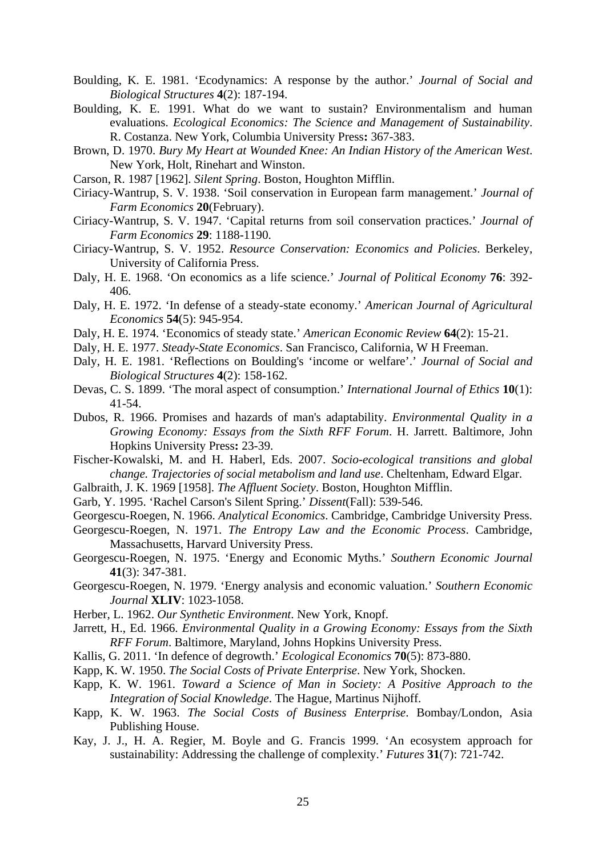- Boulding, K. E. 1981. 'Ecodynamics: A response by the author.' *Journal of Social and Biological Structures* **4**(2): 187-194.
- Boulding, K. E. 1991. What do we want to sustain? Environmentalism and human evaluations. *Ecological Economics: The Science and Management of Sustainability*. R. Costanza. New York, Columbia University Press**:** 367-383.
- Brown, D. 1970. *Bury My Heart at Wounded Knee: An Indian History of the American West*. New York, Holt, Rinehart and Winston.
- Carson, R. 1987 [1962]. *Silent Spring*. Boston, Houghton Mifflin.
- Ciriacy-Wantrup, S. V. 1938. 'Soil conservation in European farm management.' *Journal of Farm Economics* **20**(February).
- Ciriacy-Wantrup, S. V. 1947. 'Capital returns from soil conservation practices.' *Journal of Farm Economics* **29**: 1188-1190.
- Ciriacy-Wantrup, S. V. 1952. *Resource Conservation: Economics and Policies*. Berkeley, University of California Press.
- Daly, H. E. 1968. 'On economics as a life science.' *Journal of Political Economy* **76**: 392- 406.
- Daly, H. E. 1972. 'In defense of a steady-state economy.' *American Journal of Agricultural Economics* **54**(5): 945-954.
- Daly, H. E. 1974. 'Economics of steady state.' *American Economic Review* **64**(2): 15-21.
- Daly, H. E. 1977. *Steady-State Economics*. San Francisco, California, W H Freeman.
- Daly, H. E. 1981. 'Reflections on Boulding's 'income or welfare'.' *Journal of Social and Biological Structures* **4**(2): 158-162.
- Devas, C. S. 1899. 'The moral aspect of consumption.' *International Journal of Ethics* **10**(1): 41-54.
- Dubos, R. 1966. Promises and hazards of man's adaptability. *Environmental Quality in a Growing Economy: Essays from the Sixth RFF Forum*. H. Jarrett. Baltimore, John Hopkins University Press**:** 23-39.
- Fischer-Kowalski, M. and H. Haberl, Eds. 2007. *Socio-ecological transitions and global change. Trajectories of social metabolism and land use*. Cheltenham, Edward Elgar.
- Galbraith, J. K. 1969 [1958]. *The Affluent Society*. Boston, Houghton Mifflin.
- Garb, Y. 1995. 'Rachel Carson's Silent Spring.' *Dissent*(Fall): 539-546.
- Georgescu-Roegen, N. 1966. *Analytical Economics*. Cambridge, Cambridge University Press.
- Georgescu-Roegen, N. 1971. *The Entropy Law and the Economic Process*. Cambridge, Massachusetts, Harvard University Press.
- Georgescu-Roegen, N. 1975. 'Energy and Economic Myths.' *Southern Economic Journal* **41**(3): 347-381.
- Georgescu-Roegen, N. 1979. 'Energy analysis and economic valuation.' *Southern Economic Journal* **XLIV**: 1023-1058.
- Herber, L. 1962. *Our Synthetic Environment*. New York, Knopf.
- Jarrett, H., Ed. 1966. *Environmental Quality in a Growing Economy: Essays from the Sixth RFF Forum*. Baltimore, Maryland, Johns Hopkins University Press.
- Kallis, G. 2011. 'In defence of degrowth.' *Ecological Economics* **70**(5): 873-880.
- Kapp, K. W. 1950. *The Social Costs of Private Enterprise*. New York, Shocken.
- Kapp, K. W. 1961. *Toward a Science of Man in Society: A Positive Approach to the Integration of Social Knowledge*. The Hague, Martinus Nijhoff.
- Kapp, K. W. 1963. *The Social Costs of Business Enterprise*. Bombay/London, Asia Publishing House.
- Kay, J. J., H. A. Regier, M. Boyle and G. Francis 1999. 'An ecosystem approach for sustainability: Addressing the challenge of complexity.' *Futures* **31**(7): 721-742.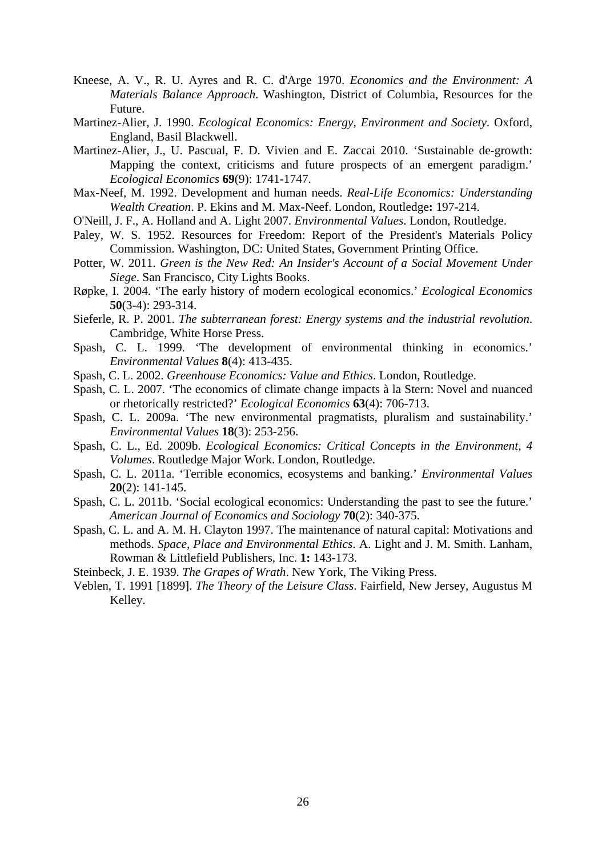- Kneese, A. V., R. U. Ayres and R. C. d'Arge 1970. *Economics and the Environment: A Materials Balance Approach*. Washington, District of Columbia, Resources for the Future.
- Martinez-Alier, J. 1990. *Ecological Economics: Energy, Environment and Society*. Oxford, England, Basil Blackwell.
- Martinez-Alier, J., U. Pascual, F. D. Vivien and E. Zaccai 2010. 'Sustainable de-growth: Mapping the context, criticisms and future prospects of an emergent paradigm.' *Ecological Economics* **69**(9): 1741-1747.
- Max-Neef, M. 1992. Development and human needs. *Real-Life Economics: Understanding Wealth Creation*. P. Ekins and M. Max-Neef. London, Routledge**:** 197-214.
- O'Neill, J. F., A. Holland and A. Light 2007. *Environmental Values*. London, Routledge.
- Paley, W. S. 1952. Resources for Freedom: Report of the President's Materials Policy Commission. Washington, DC: United States, Government Printing Office.
- Potter, W. 2011. *Green is the New Red: An Insider's Account of a Social Movement Under Siege*. San Francisco, City Lights Books.
- Røpke, I. 2004. 'The early history of modern ecological economics.' *Ecological Economics* **50**(3-4): 293-314.
- Sieferle, R. P. 2001. *The subterranean forest: Energy systems and the industrial revolution*. Cambridge, White Horse Press.
- Spash, C. L. 1999. 'The development of environmental thinking in economics.' *Environmental Values* **8**(4): 413-435.
- Spash, C. L. 2002. *Greenhouse Economics: Value and Ethics*. London, Routledge.
- Spash, C. L. 2007. 'The economics of climate change impacts à la Stern: Novel and nuanced or rhetorically restricted?' *Ecological Economics* **63**(4): 706-713.
- Spash, C. L. 2009a. 'The new environmental pragmatists, pluralism and sustainability.' *Environmental Values* **18**(3): 253-256.
- Spash, C. L., Ed. 2009b. *Ecological Economics: Critical Concepts in the Environment, 4 Volumes*. Routledge Major Work. London, Routledge.
- Spash, C. L. 2011a. 'Terrible economics, ecosystems and banking.' *Environmental Values* **20**(2): 141-145.
- Spash, C. L. 2011b. 'Social ecological economics: Understanding the past to see the future.' *American Journal of Economics and Sociology* **70**(2): 340-375.
- Spash, C. L. and A. M. H. Clayton 1997. The maintenance of natural capital: Motivations and methods. *Space, Place and Environmental Ethics*. A. Light and J. M. Smith. Lanham, Rowman & Littlefield Publishers, Inc. **1:** 143-173.
- Steinbeck, J. E. 1939. *The Grapes of Wrath*. New York, The Viking Press.
- Veblen, T. 1991 [1899]. *The Theory of the Leisure Class*. Fairfield, New Jersey, Augustus M Kelley.